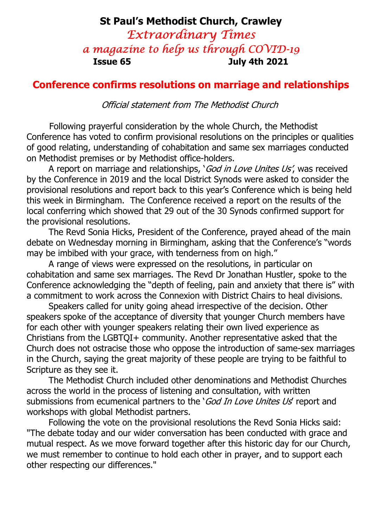# St Paul's Methodist Church, Crawley Extraordinary Times a magazine to help us through COVID-19 Issue 65 July 4th 2021

### Conference confirms resolutions on marriage and relationships

Official statement from The Methodist Church

Following prayerful consideration by the whole Church, the Methodist Conference has voted to confirm provisional resolutions on the principles or qualities of good relating, understanding of cohabitation and same sex marriages conducted on Methodist premises or by Methodist office-holders.

A report on marriage and relationships, 'God in Love Unites Us', was received by the Conference in 2019 and the local District Synods were asked to consider the provisional resolutions and report back to this year's Conference which is being held this week in Birmingham. The Conference received a report on the results of the local conferring which showed that 29 out of the 30 Synods confirmed support for the provisional resolutions.

 The Revd Sonia Hicks, President of the Conference, prayed ahead of the main debate on Wednesday morning in Birmingham, asking that the Conference's "words may be imbibed with your grace, with tenderness from on high."

 A range of views were expressed on the resolutions, in particular on cohabitation and same sex marriages. The Revd Dr Jonathan Hustler, spoke to the Conference acknowledging the "depth of feeling, pain and anxiety that there is" with a commitment to work across the Connexion with District Chairs to heal divisions.

 Speakers called for unity going ahead irrespective of the decision. Other speakers spoke of the acceptance of diversity that younger Church members have for each other with younger speakers relating their own lived experience as Christians from the LGBTQI+ community. Another representative asked that the Church does not ostracise those who oppose the introduction of same-sex marriages in the Church, saying the great majority of these people are trying to be faithful to Scripture as they see it.

 The Methodist Church included other denominations and Methodist Churches across the world in the process of listening and consultation, with written submissions from ecumenical partners to the 'God In Love Unites Us' report and workshops with global Methodist partners.

 Following the vote on the provisional resolutions the Revd Sonia Hicks said: "The debate today and our wider conversation has been conducted with grace and mutual respect. As we move forward together after this historic day for our Church, we must remember to continue to hold each other in prayer, and to support each other respecting our differences."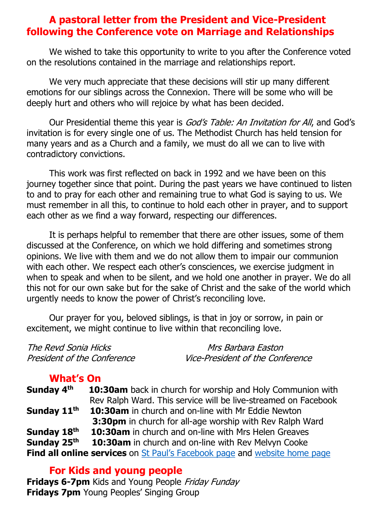### A pastoral letter from the President and Vice-President following the Conference vote on Marriage and Relationships

We wished to take this opportunity to write to you after the Conference voted on the resolutions contained in the marriage and relationships report.

We very much appreciate that these decisions will stir up many different emotions for our siblings across the Connexion. There will be some who will be deeply hurt and others who will rejoice by what has been decided.

Our Presidential theme this year is *God's Table: An Invitation for All*, and God's invitation is for every single one of us. The Methodist Church has held tension for many years and as a Church and a family, we must do all we can to live with contradictory convictions.

This work was first reflected on back in 1992 and we have been on this journey together since that point. During the past years we have continued to listen to and to pray for each other and remaining true to what God is saying to us. We must remember in all this, to continue to hold each other in prayer, and to support each other as we find a way forward, respecting our differences.

It is perhaps helpful to remember that there are other issues, some of them discussed at the Conference, on which we hold differing and sometimes strong opinions. We live with them and we do not allow them to impair our communion with each other. We respect each other's consciences, we exercise judgment in when to speak and when to be silent, and we hold one another in prayer. We do all this not for our own sake but for the sake of Christ and the sake of the world which urgently needs to know the power of Christ's reconciling love.

Our prayer for you, beloved siblings, is that in joy or sorrow, in pain or excitement, we might continue to live within that reconciling love.

| The Revd Sonia Hicks        | Mrs Barbara Easton                      |
|-----------------------------|-----------------------------------------|
| President of the Conference | <i>Vice-President of the Conference</i> |

# What's On

**Sunday 4<sup>th</sup> 10:30am** back in church for worship and Holy Communion with Rev Ralph Ward. This service will be live-streamed on Facebook Sunday 11<sup>th</sup> 10:30am in church and on-line with Mr Eddie Newton **3:30pm** in church for all-age worship with Rev Ralph Ward **Sunday 18<sup>th</sup> 10:30am** in church and on-line with Mrs Helen Greaves **Sunday 25<sup>th</sup> 10:30am** in church and on-line with Rev Melvyn Cooke Find all online services on St Paul's Facebook page and website home page

### For Kids and young people

Fridays 6-7pm Kids and Young People Friday Funday **Fridays 7pm** Young Peoples' Singing Group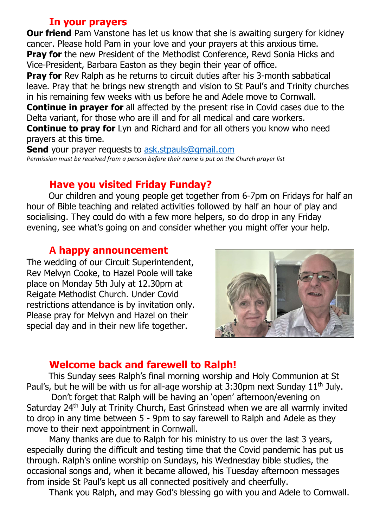# In your prayers

**Our friend** Pam Vanstone has let us know that she is awaiting surgery for kidney cancer. Please hold Pam in your love and your prayers at this anxious time. **Pray for** the new President of the Methodist Conference, Revd Sonia Hicks and Vice-President, Barbara Easton as they begin their year of office.

**Pray for** Rev Ralph as he returns to circuit duties after his 3-month sabbatical leave. Pray that he brings new strength and vision to St Paul's and Trinity churches in his remaining few weeks with us before he and Adele move to Cornwall.

**Continue in prayer for** all affected by the present rise in Covid cases due to the Delta variant, for those who are ill and for all medical and care workers.

**Continue to pray for** Lyn and Richard and for all others you know who need prayers at this time.

**Send** your prayer requests to ask.stpauls@gmail.com Permission must be received from a person before their name is put on the Church prayer list

# Have you visited Friday Funday?

 Our children and young people get together from 6-7pm on Fridays for half an hour of Bible teaching and related activities followed by half an hour of play and socialising. They could do with a few more helpers, so do drop in any Friday evening, see what's going on and consider whether you might offer your help.

#### A happy announcement

The wedding of our Circuit Superintendent, Rev Melvyn Cooke, to Hazel Poole will take place on Monday 5th July at 12.30pm at Reigate Methodist Church. Under Covid restrictions attendance is by invitation only. Please pray for Melvyn and Hazel on their special day and in their new life together.



### Welcome back and farewell to Ralph!

 This Sunday sees Ralph's final morning worship and Holy Communion at St Paul's, but he will be with us for all-age worship at 3:30pm next Sunday  $11<sup>th</sup>$  July.

 Don't forget that Ralph will be having an 'open' afternoon/evening on Saturday 24<sup>th</sup> July at Trinity Church, East Grinstead when we are all warmly invited to drop in any time between 5 - 9pm to say farewell to Ralph and Adele as they move to their next appointment in Cornwall.

 Many thanks are due to Ralph for his ministry to us over the last 3 years, especially during the difficult and testing time that the Covid pandemic has put us through. Ralph's online worship on Sundays, his Wednesday bible studies, the occasional songs and, when it became allowed, his Tuesday afternoon messages from inside St Paul's kept us all connected positively and cheerfully.

Thank you Ralph, and may God's blessing go with you and Adele to Cornwall.